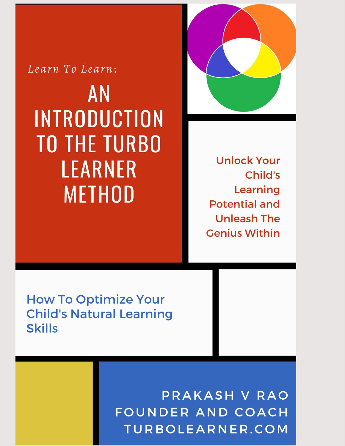Learn To Learn: **AN INTRODUCTION TO THE TURBO LEARNER METHOD** 



**Unlock Your** Child's Learning **Potential and Unleash The Genius Within** 

**How To Optimize Your Child's Natural Learning Skills** 

> PRAKASH V RAO FOUNDER AND COACH TURBOLEARNER.COM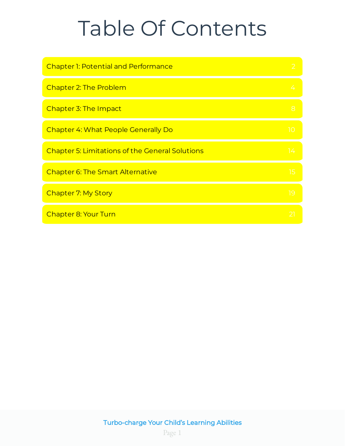# Table Of Contents

| <b>Chapter 1: Potential and Performance</b>            |     |
|--------------------------------------------------------|-----|
| Chapter 2: The Problem                                 |     |
| Chapter 3: The Impact                                  | 8   |
| <b>Chapter 4: What People Generally Do</b>             | 10  |
| <b>Chapter 5: Limitations of the General Solutions</b> | 14  |
| <b>Chapter 6: The Smart Alternative</b>                | 15  |
| <b>Chapter 7: My Story</b>                             | -19 |
| Chapter 8: Your Turn                                   |     |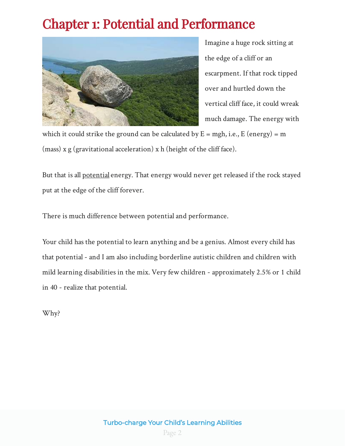# <span id="page-2-0"></span>Chapter 1: Potential and Performance



Imagine a huge rock sitting at the edge of a cliff or an escarpment. If that rock tipped over and hurtled down the vertical cliff face, it could wreak much damage. The energy with

which it could strike the ground can be calculated by  $E = mgh$ , i.e., E (energy) = m  $(mass)$  x g (gravitational acceleration) x h (height of the cliff face).

But that is all <u>potential</u> energy. That energy would never get released if the rock stayed put at the edge of the cliff forever.

There is much difference between potential and performance.

Your child has the potential to learn anything and be a genius. Almost every child has that potential - and I am also including borderline autistic children and children with mild learning disabilities in the mix. Very few children - approximately 2.5% or 1 child in 40 - realize that potential.

Why?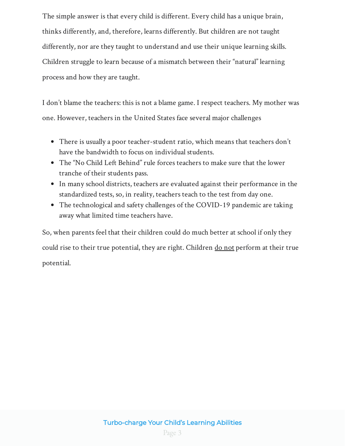The simple answer is that every child is different. Every child has a unique brain, thinks differently, and, therefore, learns differently. But children are not taught differently, nor are they taught to understand and use their unique learning skills. Children struggle to learn because of a mismatch between their "natural" learning process and how they are taught.

I don't blame the teachers: this is not a blame game. I respect teachers. My mother was one. However, teachers in the United States face several major challenges

- There is usually a poor teacher-student ratio, which means that teachers don't have the bandwidth to focus on individual students.
- The "No Child Left Behind" rule forces teachers to make sure that the lower tranche of their students pass.
- In many school districts, teachers are evaluated against their performance in the standardized tests, so, in reality, teachers teach to the test from day one.
- The technological and safety challenges of the COVID-19 pandemic are taking away what limited time teachers have.

So, when parents feel that their children could do much better at school if only they could rise to their true potential, they are right. Children <u>do not</u> perform at their true potential.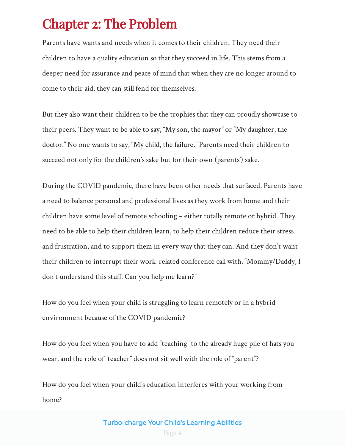### <span id="page-4-0"></span>Chapter 2: The Problem

Parents have wants and needs when it comes to their children. They need their children to have a quality education so that they succeed in life. This stems from a deeper need for assurance and peace of mind that when they are no longer around to come to their aid, they can still fend for themselves.

But they also want their children to be the trophies that they can proudly showcase to their peers. They want to be able to say, "My son, the mayor" or "My daughter, the doctor." No one wants to say, "My child, the failure." Parents need their children to succeed not only for the children's sake but for their own (parents') sake.

During the COVID pandemic, there have been other needs that surfaced. Parents have a need to balance personal and professional lives as they work from home and their children have some level of remote schooling – either totally remote or hybrid. They need to be able to help their children learn, to help their children reduce their stress and frustration, and to support them in every way that they can. And they don't want their children to interrupt their work-related conference call with, "Mommy/Daddy, I don't understand this stuff. Can you help me learn?"

How do you feel when your child is struggling to learn remotely or in a hybrid environment because of the COVID pandemic?

How do you feel when you have to add "teaching" to the already huge pile of hats you wear, and the role of "teacher" does not sit well with the role of "parent"?

How do you feel when your child's education interferes with your working from home?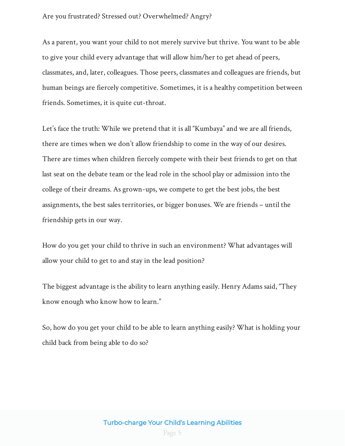#### Are you frustrated? Stressed out? Overwhelmed? Angry?

As a parent, you want your child to not merely survive but thrive. You want to be able to give your child every advantage that will allow him/her to get ahead of peers, classmates, and, later, colleagues. Those peers, classmates and colleagues are friends, but human beings are fiercely competitive. Sometimes, it is a healthy competition between friends. Sometimes, it is quite cut-throat.

Let's face the truth: While we pretend that it is all "Kumbaya" and we are all friends, there are times when we don't allow friendship to come in the way of our desires. There are times when children fiercely compete with their best friends to get on that last seat on the debate team or the lead role in the school play or admission into the college of their dreams. As grown-ups, we compete to get the best jobs, the best assignments, the best sales territories, or bigger bonuses. We are friends – until the friendship gets in our way.

How do you get your child to thrive in such an environment? What advantages will allow your child to get to and stay in the lead position?

The biggest advantage is the ability to learn anything easily. Henry Adams said, "They know enough who know how to learn."

So, how do you get your child to be able to learn anything easily? What is holding your child back from being able to do so?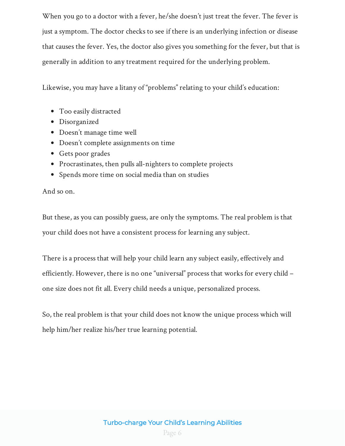When you go to a doctor with a fever, he/she doesn't just treat the fever. The fever is just a symptom. The doctor checks to see if there is an underlying infection or disease that causes the fever. Yes, the doctor also gives you something for the fever, but that is generally in addition to any treatment required for the underlying problem.

Likewise, you may have a litany of "problems" relating to your child's education:

- Too easily distracted
- Disorganized
- Doesn't manage time well
- Doesn't complete assignments on time
- Gets poor grades
- Procrastinates, then pulls all-nighters to complete projects
- Spends more time on social media than on studies

And so on.

But these, as you can possibly guess, are only the symptoms. The real problem is that your child does not have a consistent process for learning any subject.

There is a process that will help your child learn any subject easily, effectively and efficiently. However, there is no one "universal" process that works for every child – one size does not fit all. Every child needs a unique, personalized process.

So, the real problem is that your child does not know the unique process which will help him/her realize his/her true learning potential.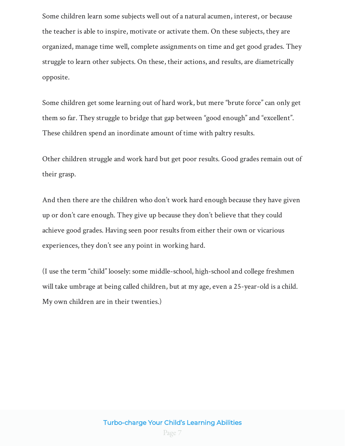Some children learn some subjects well out of a natural acumen, interest, or because the teacher is able to inspire, motivate or activate them. On these subjects, they are organized, manage time well, complete assignments on time and get good grades. They struggle to learn other subjects. On these, their actions, and results, are diametrically opposite.

Some children get some learning out of hard work, but mere "brute force" can only get them so far. They struggle to bridge that gap between "good enough" and "excellent". These children spend an inordinate amount of time with paltry results.

Other children struggle and work hard but get poor results. Good grades remain out of their grasp.

And then there are the children who don't work hard enough because they have given up or don't care enough. They give up because they don't believe that they could achieve good grades. Having seen poor results from either their own or vicarious experiences, they don't see any point in working hard.

(I use the term "child" loosely: some middle-school, high-school and college freshmen will take umbrage at being called children, but at my age, even a 25-year-old is a child. My own children are in their twenties.)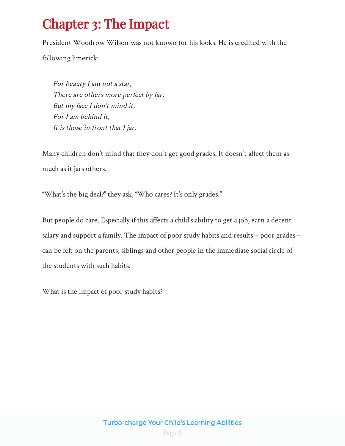# <span id="page-8-0"></span>Chapter 3: The Impact

President Woodrow Wilson was not known for his looks. He is credited with the

following limerick:

But my face I don't mind it, For I am behind it, It is those in front that I jar. There are others more perfect by far, For beauty I am not a star,

Many children don't mind that they don't get good grades. It doesn't affect them as much as it jars others.

"What's the big deal?" they ask, "Who cares? It's only grades."

But people do care. Especially if this affects a child's ability to get a job, earn a decent salary and support a family. The impact of poor study habits and results – poor grades – can be felt on the parents, siblings and other people in the immediate social circle of the students with such habits.

What is the impact of poor study habits?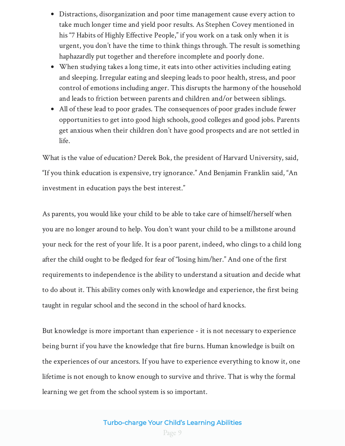- Distractions, disorganization and poor time management cause every action to take much longer time and yield poor results. As Stephen Covey mentioned in his "7 Habits of Highly Effective People," if you work on a task only when it is urgent, you don't have the time to think things through. The result is something haphazardly put together and therefore incomplete and poorly done.
- When studying takes a long time, it eats into other activities including eating and sleeping. Irregular eating and sleeping leads to poor health, stress, and poor control of emotions including anger. This disrupts the harmony of the household and leads to friction between parents and children and/or between siblings.
- All of these lead to poor grades. The consequences of poor grades include fewer opportunities to get into good high schools, good colleges and good jobs. Parents get anxious when their children don't have good prospects and are not settled in life.

What is the value of education? Derek Bok, the president of Harvard University, said, "If you think education is expensive, try ignorance." And Benjamin Franklin said, "An investment in education pays the best interest."

As parents, you would like your child to be able to take care of himself/herself when you are no longer around to help. You don't want your child to be a millstone around your neck for the rest of your life. It is a poor parent, indeed, who clings to a child long after the child ought to be fledged for fear of "losing him/her." And one of the first requirements to independence is the ability to understand a situation and decide what to do about it. This ability comes only with knowledge and experience, the first being taught in regular school and the second in the school of hard knocks.

But knowledge is more important than experience - it is not necessary to experience being burnt if you have the knowledge that fire burns. Human knowledge is built on the experiences of our ancestors. If you have to experience everything to know it, one lifetime is not enough to know enough to survive and thrive. That is why the formal learning we get from the school system is so important.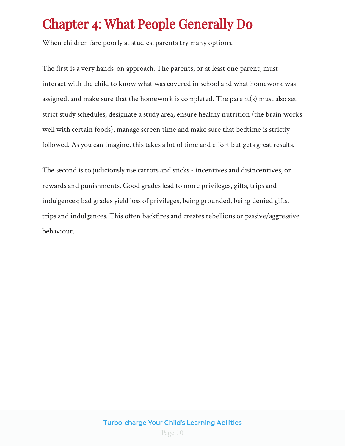# <span id="page-10-0"></span>Chapter 4: What People Generally Do

When children fare poorly at studies, parents try many options.

The first is a very hands-on approach. The parents, or at least one parent, must interact with the child to know what was covered in school and what homework was assigned, and make sure that the homework is completed. The parent(s) must also set strict study schedules, designate a study area, ensure healthy nutrition (the brain works well with certain foods), manage screen time and make sure that bedtime is strictly followed. As you can imagine, this takes a lot of time and effort but gets great results.

The second is to judiciously use carrots and sticks - incentives and disincentives, or rewards and punishments. Good grades lead to more privileges, gifts, trips and indulgences; bad grades yield loss of privileges, being grounded, being denied gifts, trips and indulgences. This often backfires and creates rebellious or passive/aggressive behaviour.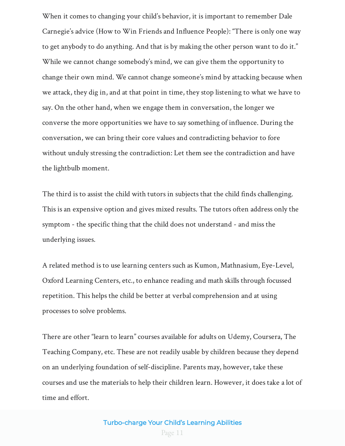When it comes to changing your child's behavior, it is important to remember Dale Carnegie's advice (How to Win Friends and Influence People): "There is only one way to get anybody to do anything. And that is by making the other person want to do it." While we cannot change somebody's mind, we can give them the opportunity to change their own mind. We cannot change someone's mind by attacking because when we attack, they dig in, and at that point in time, they stop listening to what we have to say. On the other hand, when we engage them in conversation, the longer we converse the more opportunities we have to say something of influence. During the conversation, we can bring their core values and contradicting behavior to fore without unduly stressing the contradiction: Let them see the contradiction and have the lightbulb moment.

The third is to assist the child with tutors in subjects that the child finds challenging. This is an expensive option and gives mixed results. The tutors often address only the symptom - the specific thing that the child does not understand - and miss the underlying issues.

A related method is to use learning centers such as Kumon, Mathnasium, Eye-Level, Oxford Learning Centers, etc., to enhance reading and math skills through focussed repetition. This helps the child be better at verbal comprehension and at using processes to solve problems.

There are other "learn to learn" courses available for adults on Udemy, Coursera, The Teaching Company, etc. These are not readily usable by children because they depend on an underlying foundation of self-discipline. Parents may, however, take these courses and use the materials to help their children learn. However, it does take a lot of time and effort.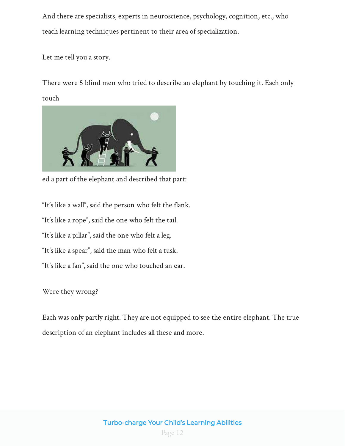And there are specialists, experts in neuroscience, psychology, cognition, etc., who teach learning techniques pertinent to their area of specialization.

Let me tell you a story.

There were 5 blind men who tried to describe an elephant by touching it. Each only touch



ed a part of the elephant and described that part:

"It's like a wall", said the person who felt the flank.

"It's like a rope", said the one who felt the tail.

"It's like a pillar", said the one who felt a leg.

"It's like a spear", said the man who felt a tusk.

"It's like a fan", said the one who touched an ear.

Were they wrong?

Each was only partly right. They are not equipped to see the entire elephant. The true description of an elephant includes all these and more.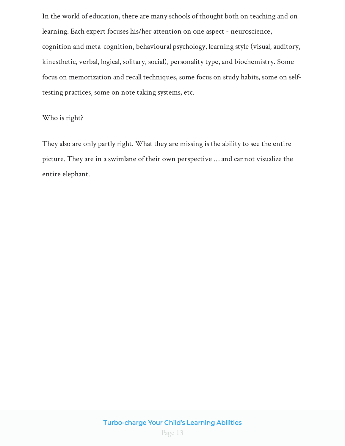In the world of education, there are many schools of thought both on teaching and on learning. Each expert focuses his/her attention on one aspect - neuroscience, cognition and meta-cognition, behavioural psychology, learning style (visual, auditory, kinesthetic, verbal, logical, solitary, social), personality type, and biochemistry. Some focus on memorization and recall techniques, some focus on study habits, some on selftesting practices, some on note taking systems, etc.

#### Who is right?

They also are only partly right. What they are missing is the ability to see the entire picture. They are in a swimlane of their own perspective … and cannot visualize the entire elephant.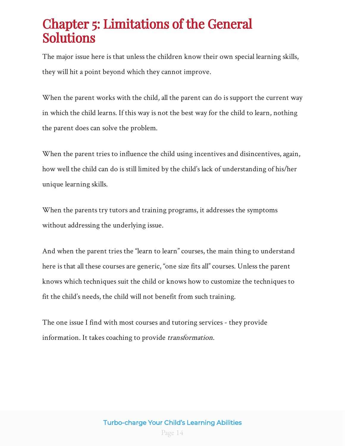### <span id="page-14-0"></span>Chapter 5: Limitations of the General Solutions

The major issue here is that unless the children know their own special learning skills, they will hit a point beyond which they cannot improve.

When the parent works with the child, all the parent can do is support the current way in which the child learns. If this way is not the best way for the child to learn, nothing the parent does can solve the problem.

When the parent tries to influence the child using incentives and disincentives, again, how well the child can do is still limited by the child's lack of understanding of his/her unique learning skills.

When the parents try tutors and training programs, it addresses the symptoms without addressing the underlying issue.

And when the parent tries the "learn to learn" courses, the main thing to understand here is that all these courses are generic, "one size fits all" courses. Unless the parent knows which techniques suit the child or knows how to customize the techniques to fit the child's needs, the child will not benefit from such training.

The one issue I find with most courses and tutoring services - they provide information. It takes coaching to provide *transformation*.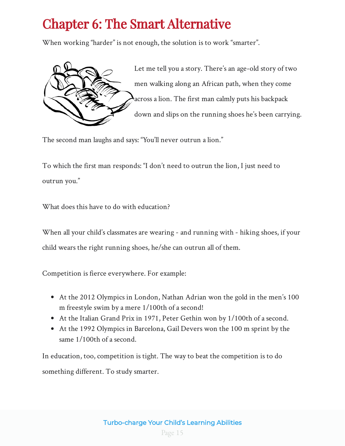# <span id="page-15-0"></span>Chapter 6: The Smart Alternative

When working "harder" is not enough, the solution is to work "smarter".



Let me tell you a story. There's an age-old story of two men walking along an African path, when they come across a lion. The first man calmly puts his backpack down and slips on the running shoes he's been carrying.

The second man laughs and says: "You'll never outrun a lion."

To which the first man responds: "I don't need to outrun the lion, I just need to outrun you."

What does this have to do with education?

When all your child's classmates are wearing - and running with - hiking shoes, if your child wears the right running shoes, he/she can outrun all of them.

Competition is fierce everywhere. For example:

- At the 2012 Olympics in London, Nathan Adrian won the gold in the men's 100 m freestyle swim by a mere 1/100th of a second!
- At the Italian Grand Prix in 1971, Peter Gethin won by 1/100th of a second.
- At the 1992 Olympics in Barcelona, Gail Devers won the 100 m sprint by the same 1/100th of a second.

In education, too, competition is tight. The way to beat the competition is to do something different. To study smarter.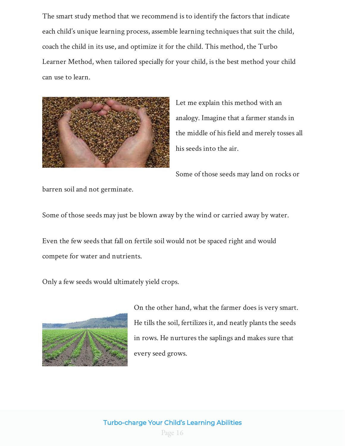The smart study method that we recommend is to identify the factors that indicate each child's unique learning process, assemble learning techniques that suit the child, coach the child in its use, and optimize it for the child. This method, the Turbo Learner Method, when tailored specially for your child, is the best method your child can use to learn.



Let me explain this method with an analogy. Imagine that a farmer stands in the middle of his field and merely tosses all his seeds into the air.

Some of those seeds may land on rocks or

barren soil and not germinate.

Some of those seeds may just be blown away by the wind or carried away by water.

Even the few seeds that fall on fertile soil would not be spaced right and would compete for water and nutrients.

Only a few seeds would ultimately yield crops.



On the other hand, what the farmer does is very smart. He tills the soil, fertilizes it, and neatly plants the seeds in rows. He nurtures the saplings and makes sure that every seed grows.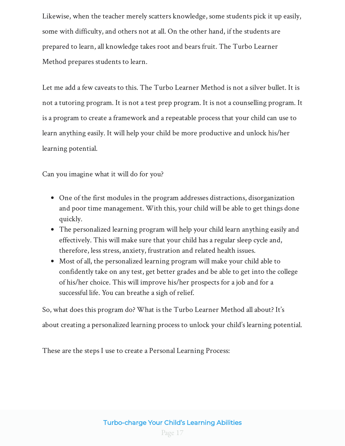Likewise, when the teacher merely scatters knowledge, some students pick it up easily, some with difficulty, and others not at all. On the other hand, if the students are prepared to learn, all knowledge takes root and bears fruit. The Turbo Learner Method prepares students to learn.

Let me add a few caveats to this. The Turbo Learner Method is not a silver bullet. It is not a tutoring program. It is not a test prep program. It is not a counselling program. It is a program to create a framework and a repeatable process that your child can use to learn anything easily. It will help your child be more productive and unlock his/her learning potential.

Can you imagine what it will do for you?

- One of the first modules in the program addresses distractions, disorganization and poor time management. With this, your child will be able to get things done quickly.
- The personalized learning program will help your child learn anything easily and effectively. This will make sure that your child has a regular sleep cycle and, therefore, less stress, anxiety, frustration and related health issues.
- Most of all, the personalized learning program will make your child able to confidently take on any test, get better grades and be able to get into the college of his/her choice. This will improve his/her prospects for a job and for a successful life. You can breathe a sigh of relief.

So, what does this program do? What is the Turbo Learner Method all about? It's about creating a personalized learning process to unlock your child's learning potential.

These are the steps I use to create a Personal Learning Process: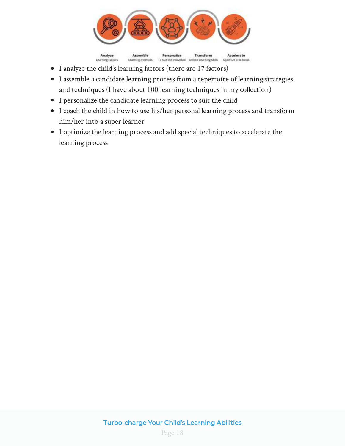

- I analyze the child's learning factors (there are 17 factors)
- I assemble a candidate learning process from a repertoire of learning strategies and techniques (I have about 100 learning techniques in my collection)
- I personalize the candidate learning process to suit the child
- I coach the child in how to use his/her personal learning process and transform him/her into a super learner
- I optimize the learning process and add special techniques to accelerate the learning process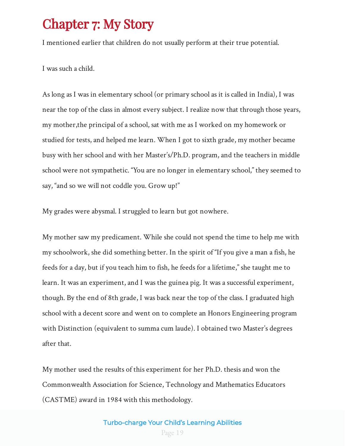### <span id="page-19-0"></span>Chapter 7: My Story

I mentioned earlier that children do not usually perform at their true potential.

I was such a child.

As long as I was in elementary school (or primary school as it is called in India), I was near the top of the class in almost every subject. I realize now that through those years, my mother,the principal of a school, sat with me as I worked on my homework or studied for tests, and helped me learn. When I got to sixth grade, my mother became busy with her school and with her Master's/Ph.D. program, and the teachers in middle school were not sympathetic. "You are no longer in elementary school," they seemed to say, "and so we will not coddle you. Grow up!"

My grades were abysmal. I struggled to learn but got nowhere.

My mother saw my predicament. While she could not spend the time to help me with my schoolwork, she did something better. In the spirit of "If you give a man a fish, he feeds for a day, but if you teach him to fish, he feeds for a lifetime," she taught me to learn. It was an experiment, and I was the guinea pig. It was a successful experiment, though. By the end of 8th grade, I was back near the top of the class. I graduated high school with a decent score and went on to complete an Honors Engineering program with Distinction (equivalent to summa cum laude). I obtained two Master's degrees after that.

My mother used the results of this experiment for her Ph.D. thesis and won the Commonwealth Association for Science, Technology and Mathematics Educators (CASTME) award in 1984 with this methodology.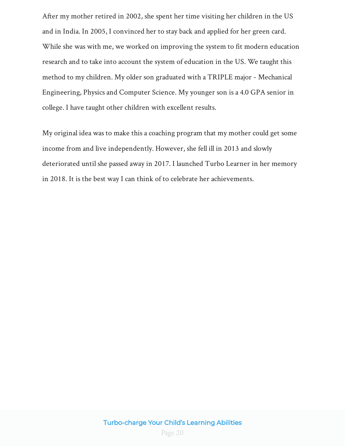After my mother retired in 2002, she spent her time visiting her children in the US and in India. In 2005, I convinced her to stay back and applied for her green card. While she was with me, we worked on improving the system to fit modern education research and to take into account the system of education in the US. We taught this method to my children. My older son graduated with a TRIPLE major - Mechanical Engineering, Physics and Computer Science. My younger son is a 4.0 GPA senior in college. I have taught other children with excellent results.

My original idea was to make this a coaching program that my mother could get some income from and live independently. However, she fell ill in 2013 and slowly deteriorated until she passed away in 2017. I launched Turbo Learner in her memory in 2018. It is the best way I can think of to celebrate her achievements.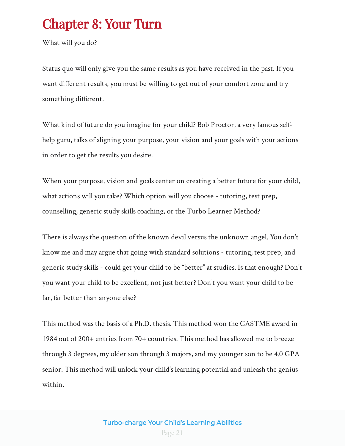### <span id="page-21-0"></span>Chapter 8: Your Turn

What will you do?

Status quo will only give you the same results as you have received in the past. If you want different results, you must be willing to get out of your comfort zone and try something different.

What kind of future do you imagine for your child? Bob Proctor, a very famous selfhelp guru, talks of aligning your purpose, your vision and your goals with your actions in order to get the results you desire.

When your purpose, vision and goals center on creating a better future for your child, what actions will you take? Which option will you choose - tutoring, test prep, counselling, generic study skills coaching, or the Turbo Learner Method?

There is always the question of the known devil versus the unknown angel. You don't know me and may argue that going with standard solutions - tutoring, test prep, and generic study skills - could get your child to be "better" at studies. Is that enough? Don't you want your child to be excellent, not just better? Don't you want your child to be far, far better than anyone else?

This method was the basis of a Ph.D. thesis. This method won the CASTME award in 1984 out of 200+ entries from 70+ countries. This method has allowed me to breeze through 3 degrees, my older son through 3 majors, and my younger son to be 4.0 GPA senior. This method will unlock your child's learning potential and unleash the genius within.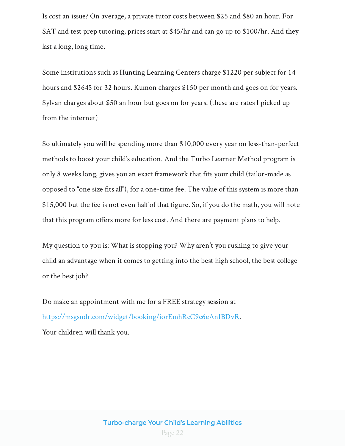Is cost an issue? On average, a private tutor costs between \$25 and \$80 an hour. For SAT and test prep tutoring, prices start at \$45/hr and can go up to \$100/hr. And they last a long, long time.

Some institutions such as Hunting Learning Centers charge \$1220 per subject for 14 hours and \$2645 for 32 hours. Kumon charges \$150 per month and goes on for years. Sylvan charges about \$50 an hour but goes on for years. (these are rates I picked up from the internet)

So ultimately you will be spending more than \$10,000 every year on less-than-perfect methods to boost your child's education. And the Turbo Learner Method program is only 8 weeks long, gives you an exact framework that fits your child (tailor-made as opposed to "one size fits all"), for a one-time fee. The value of this system is more than \$15,000 but the fee is not even half of that figure. So, if you do the math, you will note that this program offers more for less cost. And there are payment plans to help.

My question to you is: What is stopping you? Why aren't you rushing to give your child an advantage when it comes to getting into the best high school, the best college or the best job?

Do make an appointment with me for a FREE strategy session at . <https://msgsndr.com/widget/booking/iorEmhRcC9c6eAnIBDvR> Your children will thank you.